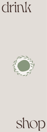# drink



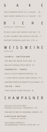# S A K E

SAKE NIHONSHU BIJITO 75 CL FLASCHE 30.- SAKE NIGORI TAKARA 37,5 CL FLASCHE 40.-

# BIERE

bierflasche | bottled beer

IKI BIO | YUZU UND SENCHA 4,5% 33CL 7.5- IKI BIO | INGWER UND SENCHA 5,5% 33CL 7.- SAPPORO PREMIUM LAGER 33CL 4,7% 6.-

## WEISSWEINE

white wine

**SCHWEIZ - SWITZERLAND**

1844 BALLENZ WEISS R.&.K LENZ 24.-

MÜLLER-THURGAU ERICH MEIER 25.-

**FRANKREICH - FRANCE**

POULLY FUISSE DOMAINE MATHIAS 32.-

IL VINO EROTICO BLANC ALMA CERSIUS 17.5.-

SANCERRE PANSEILOT FARGETTE GUILLERAULT 27.-

**I TA L I E N - I TA LY**

PINOT GRIGIO ATTIMO PALADIN 18.-

## CHAMPAGNER

NICOLAS FEUILLATTE BRUT RESERVE EXCLUSIVE, FRANKREICH 49.-

CAVA BRUT DE BRUT M. CASANOVAS, SPANIEN 24.-

**KLASSISCHE METHODE** traditional method

CASA BIANCA PROSECCO VALDOBBIADENE TREVISO EXTRA DRY 16.-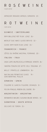## ROSÉWEINE

rosé wine

ARTAZURI ROSADO ARTAZU, SPANIEN 23.-

### ROTWEINE

red wine

#### **SCHWEIZ - SWITZERLAND**

1844 BALLENZ ROT R.&.K. LENZ 26.-

MERLOT DUE AMICI GUIDO BRIVIO 32.-

CUVEE 1844 NOIR R.&.K LENZ 33.-

#### **FRANKREICH - FRANCE**

CÔTES DU RHÔNE MISTRAL FERRAND 20.-

#### **I TA L I E N - I TA LY**

CASA LUPO VALPOLICCELLA RIPASSO, VENETO 26.-

YANTRA TENUTA DIE SETTE CIELI, TOSCANA 27.-

MILLE 1 PRATELLO, LOMBARDIA 26.-

168 DALIAN PRIMITIVO CUVEE 19.- SAN MARTINO, PUGLIA

#### **SPANIEN - SPAIN**

FIGUERO 12, GARCÍA FIGUERO, CRIANZA 31.-

PSI BY PINGUS, RIBERA DEL DUERO 39.-

#### **ARGENTINIEN - ARGENTINA**

BENMARCO MALBEC SUSANA BALBO WINES 32.-

#### **SÜDAFRIKA - SOUTH AFRICA**

DELICATE DE TOREN 25.-